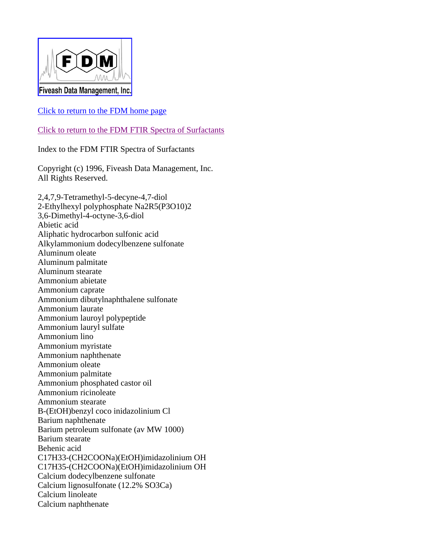

## Click to return to the FDM home page

Click to return to the FDM FTIR Spectra of Surfactants

Index to the FDM FTIR Spectra of Surfactants

Copyright (c) 1996, Fiveash Data Management, Inc. All Rights Reserved.

2,4,7,9-Tetramethyl-5-decyne-4,7-diol 2-Ethylhexyl polyphosphate Na2R5(P3O10)2 3,6-Dimethyl-4-octyne-3,6-diol Abietic acid Aliphatic hydrocarbon sulfonic acid Alkylammonium dodecylbenzene sulfonate Aluminum oleate Aluminum palmitate Aluminum stearate Ammonium abietate Ammonium caprate Ammonium dibutylnaphthalene sulfonate Ammonium laurate Ammonium lauroyl polypeptide Ammonium lauryl sulfate Ammonium lino Ammonium myristate Ammonium naphthenate Ammonium oleate Ammonium palmitate Ammonium phosphated castor oil Ammonium ricinoleate Ammonium stearate B-(EtOH)benzyl coco inidazolinium Cl Barium naphthenate Barium petroleum sulfonate (av MW 1000) Barium stearate Behenic acid C17H33-(CH2COONa)(EtOH)imidazolinium OH C17H35-(CH2COONa)(EtOH)imidazolinium OH Calcium dodecylbenzene sulfonate Calcium lignosulfonate (12.2% SO3Ca) Calcium linoleate Calcium naphthenate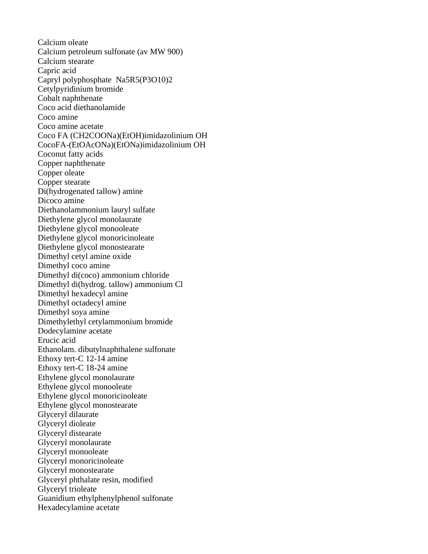Calcium oleate Calcium petroleum sulfonate (av MW 900) Calcium stearate Capric acid Capryl polyphosphate Na5R5(P3O10)2 Cetylpyridinium bromide Cobalt naphthenate Coco acid diethanolamide Coco amine Coco amine acetate Coco FA (CH2COONa)(EtOH)imidazolinium OH CocoFA-(EtOAcONa)(EtONa)imidazolinium OH Coconut fatty acids Copper naphthenate Copper oleate Copper stearate Di(hydrogenated tallow) amine Dicoco amine Diethanolammonium lauryl sulfate Diethylene glycol monolaurate Diethylene glycol monooleate Diethylene glycol monoricinoleate Diethylene glycol monostearate Dimethyl cetyl amine oxide Dimethyl coco amine Dimethyl di(coco) ammonium chloride Dimethyl di(hydrog. tallow) ammonium Cl Dimethyl hexadecyl amine Dimethyl octadecyl amine Dimethyl soya amine Dimethylethyl cetylammonium bromide Dodecylamine acetate Erucic acid Ethanolam. dibutylnaphthalene sulfonate Ethoxy tert-C 12-14 amine Ethoxy tert-C 18-24 amine Ethylene glycol monolaurate Ethylene glycol monooleate Ethylene glycol monoricinoleate Ethylene glycol monostearate Glyceryl dilaurate Glyceryl dioleate Glyceryl distearate Glyceryl monolaurate Glyceryl monooleate Glyceryl monoricinoleate Glyceryl monostearate Glyceryl phthalate resin, modified Glyceryl trioleate Guanidium ethylphenylphenol sulfonate Hexadecylamine acetate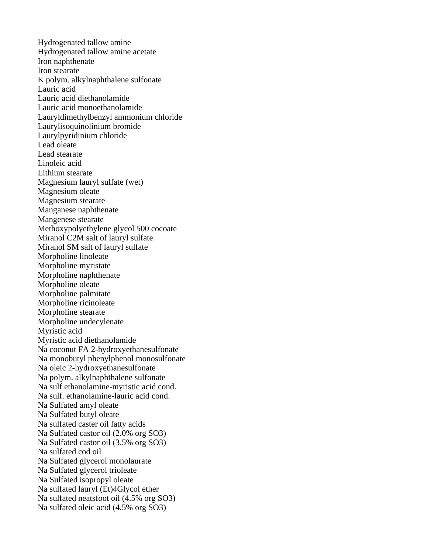Hydrogenated tallow amine Hydrogenated tallow amine acetate Iron naphthenate Iron stearate K polym. alkylnaphthalene sulfonate Lauric acid Lauric acid diethanolamide Lauric acid monoethanolamide Lauryldimethylbenzyl ammonium chloride Laurylisoquinolinium bromide Laurylpyridinium chloride Lead oleate Lead stearate Linoleic acid Lithium stearate Magnesium lauryl sulfate (wet) Magnesium oleate Magnesium stearate Manganese naphthenate Mangenese stearate Methoxypolyethylene glycol 500 cocoate Miranol C2M salt of lauryl sulfate Miranol SM salt of lauryl sulfate Morpholine linoleate Morpholine myristate Morpholine naphthenate Morpholine oleate Morpholine palmitate Morpholine ricinoleate Morpholine stearate Morpholine undecylenate Myristic acid Myristic acid diethanolamide Na coconut FA 2-hydroxyethanesulfonate Na monobutyl phenylphenol monosulfonate Na oleic 2-hydroxyethanesulfonate Na polym. alkylnaphthalene sulfonate Na sulf ethanolamine-myristic acid cond. Na sulf. ethanolamine-lauric acid cond. Na Sulfated amyl oleate Na Sulfated butyl oleate Na sulfated caster oil fatty acids Na Sulfated castor oil (2.0% org SO3) Na Sulfated castor oil (3.5% org SO3) Na sulfated cod oil Na Sulfated glycerol monolaurate Na Sulfated glycerol trioleate Na Sulfated isopropyl oleate Na sulfated lauryl (Et)4Glycol ether Na sulfated neatsfoot oil (4.5% org SO3) Na sulfated oleic acid (4.5% org SO3)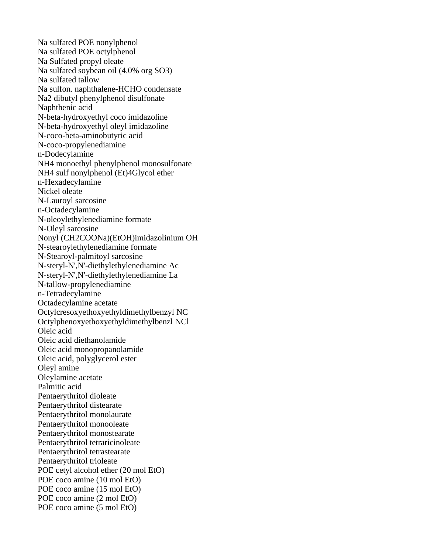Na sulfated POE nonylphenol Na sulfated POE octylphenol Na Sulfated propyl oleate Na sulfated soybean oil (4.0% org SO3) Na sulfated tallow Na sulfon. naphthalene-HCHO condensate Na2 dibutyl phenylphenol disulfonate Naphthenic acid N-beta-hydroxyethyl coco imidazoline N-beta-hydroxyethyl oleyl imidazoline N-coco-beta-aminobutyric acid N-coco-propylenediamine n-Dodecylamine NH4 monoethyl phenylphenol monosulfonate NH4 sulf nonylphenol (Et)4Glycol ether n-Hexadecylamine Nickel oleate N-Lauroyl sarcosine n-Octadecylamine N-oleoylethylenediamine formate N-Oleyl sarcosine Nonyl (CH2COONa)(EtOH)imidazolinium OH N-stearoylethylenediamine formate N-Stearoyl-palmitoyl sarcosine N-steryl-N',N'-diethylethylenediamine Ac N-steryl-N',N'-diethylethylenediamine La N-tallow-propylenediamine n-Tetradecylamine Octadecylamine acetate Octylcresoxyethoxyethyldimethylbenzyl NC Octylphenoxyethoxyethyldimethylbenzl NCl Oleic acid Oleic acid diethanolamide Oleic acid monopropanolamide Oleic acid, polyglycerol ester Oleyl amine Oleylamine acetate Palmitic acid Pentaerythritol dioleate Pentaerythritol distearate Pentaerythritol monolaurate Pentaerythritol monooleate Pentaerythritol monostearate Pentaerythritol tetraricinoleate Pentaerythritol tetrastearate Pentaerythritol trioleate POE cetyl alcohol ether (20 mol EtO) POE coco amine (10 mol EtO) POE coco amine (15 mol EtO) POE coco amine (2 mol EtO) POE coco amine (5 mol EtO)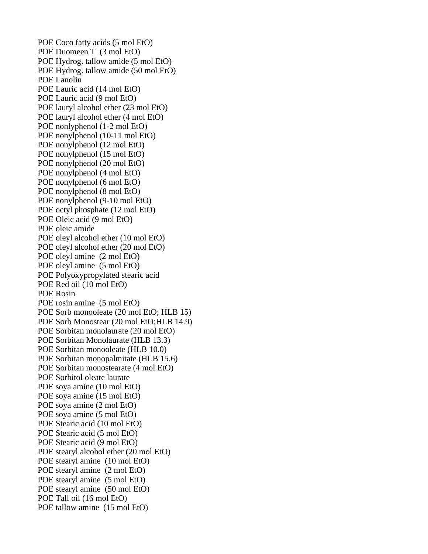POE Coco fatty acids (5 mol EtO) POE Duomeen T (3 mol EtO) POE Hydrog. tallow amide (5 mol EtO) POE Hydrog. tallow amide (50 mol EtO) POE Lanolin POE Lauric acid (14 mol EtO) POE Lauric acid (9 mol EtO) POE lauryl alcohol ether (23 mol EtO) POE lauryl alcohol ether (4 mol EtO) POE nonlyphenol (1-2 mol EtO) POE nonylphenol (10-11 mol EtO) POE nonylphenol (12 mol EtO) POE nonylphenol (15 mol EtO) POE nonylphenol (20 mol EtO) POE nonylphenol (4 mol EtO) POE nonylphenol (6 mol EtO) POE nonylphenol (8 mol EtO) POE nonylphenol (9-10 mol EtO) POE octyl phosphate (12 mol EtO) POE Oleic acid (9 mol EtO) POE oleic amide POE oleyl alcohol ether (10 mol EtO) POE oleyl alcohol ether (20 mol EtO) POE oleyl amine (2 mol EtO) POE oleyl amine (5 mol EtO) POE Polyoxypropylated stearic acid POE Red oil (10 mol EtO) POE Rosin POE rosin amine (5 mol EtO) POE Sorb monooleate (20 mol EtO; HLB 15) POE Sorb Monostear (20 mol EtO;HLB 14.9) POE Sorbitan monolaurate (20 mol EtO) POE Sorbitan Monolaurate (HLB 13.3) POE Sorbitan monooleate (HLB 10.0) POE Sorbitan monopalmitate (HLB 15.6) POE Sorbitan monostearate (4 mol EtO) POE Sorbitol oleate laurate POE soya amine (10 mol EtO) POE soya amine (15 mol EtO) POE soya amine (2 mol EtO) POE soya amine (5 mol EtO) POE Stearic acid (10 mol EtO) POE Stearic acid (5 mol EtO) POE Stearic acid (9 mol EtO) POE stearyl alcohol ether (20 mol EtO) POE stearyl amine (10 mol EtO) POE stearyl amine (2 mol EtO) POE stearyl amine (5 mol EtO) POE stearyl amine (50 mol EtO) POE Tall oil (16 mol EtO) POE tallow amine (15 mol EtO)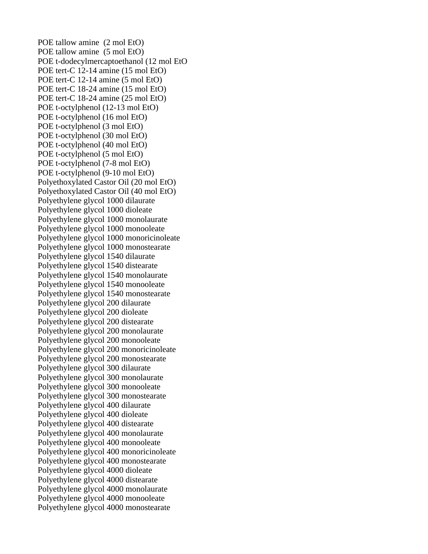POE tallow amine (2 mol EtO) POE tallow amine (5 mol EtO) POE t-dodecylmercaptoethanol (12 mol EtO POE tert-C 12-14 amine (15 mol EtO) POE tert-C 12-14 amine (5 mol EtO) POE tert-C 18-24 amine (15 mol EtO) POE tert-C 18-24 amine (25 mol EtO) POE t-octylphenol (12-13 mol EtO) POE t-octylphenol (16 mol EtO) POE t-octylphenol (3 mol EtO) POE t-octylphenol (30 mol EtO) POE t-octylphenol (40 mol EtO) POE t-octylphenol (5 mol EtO) POE t-octylphenol (7-8 mol EtO) POE t-octylphenol (9-10 mol EtO) Polyethoxylated Castor Oil (20 mol EtO) Polyethoxylated Castor Oil (40 mol EtO) Polyethylene glycol 1000 dilaurate Polyethylene glycol 1000 dioleate Polyethylene glycol 1000 monolaurate Polyethylene glycol 1000 monooleate Polyethylene glycol 1000 monoricinoleate Polyethylene glycol 1000 monostearate Polyethylene glycol 1540 dilaurate Polyethylene glycol 1540 distearate Polyethylene glycol 1540 monolaurate Polyethylene glycol 1540 monooleate Polyethylene glycol 1540 monostearate Polyethylene glycol 200 dilaurate Polyethylene glycol 200 dioleate Polyethylene glycol 200 distearate Polyethylene glycol 200 monolaurate Polyethylene glycol 200 monooleate Polyethylene glycol 200 monoricinoleate Polyethylene glycol 200 monostearate Polyethylene glycol 300 dilaurate Polyethylene glycol 300 monolaurate Polyethylene glycol 300 monooleate Polyethylene glycol 300 monostearate Polyethylene glycol 400 dilaurate Polyethylene glycol 400 dioleate Polyethylene glycol 400 distearate Polyethylene glycol 400 monolaurate Polyethylene glycol 400 monooleate Polyethylene glycol 400 monoricinoleate Polyethylene glycol 400 monostearate Polyethylene glycol 4000 dioleate Polyethylene glycol 4000 distearate Polyethylene glycol 4000 monolaurate Polyethylene glycol 4000 monooleate Polyethylene glycol 4000 monostearate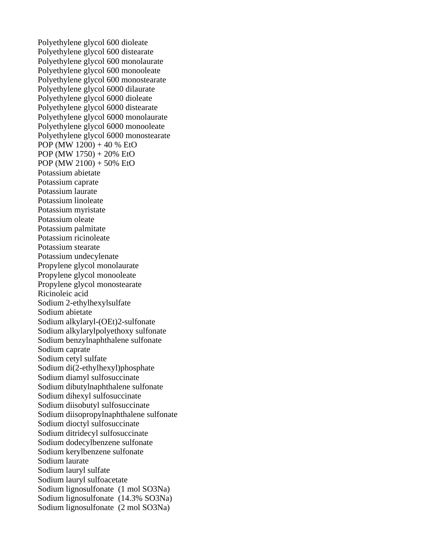Polyethylene glycol 600 dioleate Polyethylene glycol 600 distearate Polyethylene glycol 600 monolaurate Polyethylene glycol 600 monooleate Polyethylene glycol 600 monostearate Polyethylene glycol 6000 dilaurate Polyethylene glycol 6000 dioleate Polyethylene glycol 6000 distearate Polyethylene glycol 6000 monolaurate Polyethylene glycol 6000 monooleate Polyethylene glycol 6000 monostearate POP (MW  $1200$ ) + 40 % EtO POP (MW 1750) + 20% EtO POP (MW 2100) + 50% EtO Potassium abietate Potassium caprate Potassium laurate Potassium linoleate Potassium myristate Potassium oleate Potassium palmitate Potassium ricinoleate Potassium stearate Potassium undecylenate Propylene glycol monolaurate Propylene glycol monooleate Propylene glycol monostearate Ricinoleic acid Sodium 2-ethylhexylsulfate Sodium abietate Sodium alkylaryl-(OEt)2-sulfonate Sodium alkylarylpolyethoxy sulfonate Sodium benzylnaphthalene sulfonate Sodium caprate Sodium cetyl sulfate Sodium di(2-ethylhexyl)phosphate Sodium diamyl sulfosuccinate Sodium dibutylnaphthalene sulfonate Sodium dihexyl sulfosuccinate Sodium diisobutyl sulfosuccinate Sodium diisopropylnaphthalene sulfonate Sodium dioctyl sulfosuccinate Sodium ditridecyl sulfosuccinate Sodium dodecylbenzene sulfonate Sodium kerylbenzene sulfonate Sodium laurate Sodium lauryl sulfate Sodium lauryl sulfoacetate Sodium lignosulfonate (1 mol SO3Na) Sodium lignosulfonate (14.3% SO3Na) Sodium lignosulfonate (2 mol SO3Na)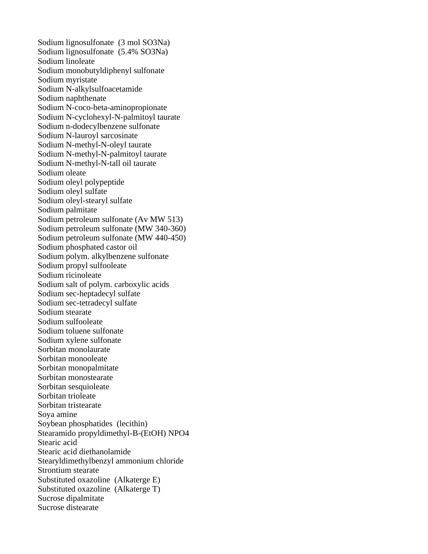Sodium lignosulfonate (3 mol SO3Na) Sodium lignosulfonate (5.4% SO3Na) Sodium linoleate Sodium monobutyldiphenyl sulfonate Sodium myristate Sodium N-alkylsulfoacetamide Sodium naphthenate Sodium N-coco-beta-aminopropionate Sodium N-cyclohexyl-N-palmitoyl taurate Sodium n-dodecylbenzene sulfonate Sodium N-lauroyl sarcosinate Sodium N-methyl-N-oleyl taurate Sodium N-methyl-N-palmitoyl taurate Sodium N-methyl-N-tall oil taurate Sodium oleate Sodium oleyl polypeptide Sodium oleyl sulfate Sodium oleyl-stearyl sulfate Sodium palmitate Sodium petroleum sulfonate (Av MW 513) Sodium petroleum sulfonate (MW 340-360) Sodium petroleum sulfonate (MW 440-450) Sodium phosphated castor oil Sodium polym. alkylbenzene sulfonate Sodium propyl sulfooleate Sodium ricinoleate Sodium salt of polym. carboxylic acids Sodium sec-heptadecyl sulfate Sodium sec-tetradecyl sulfate Sodium stearate Sodium sulfooleate Sodium toluene sulfonate Sodium xylene sulfonate Sorbitan monolaurate Sorbitan monooleate Sorbitan monopalmitate Sorbitan monostearate Sorbitan sesquioleate Sorbitan trioleate Sorbitan tristearate Soya amine Soybean phosphatides (lecithin) Stearamido propyldimethyl-B-(EtOH) NPO4 Stearic acid Stearic acid diethanolamide Stearyldimethylbenzyl ammonium chloride Strontium stearate Substituted oxazoline (Alkaterge E) Substituted oxazoline (Alkaterge T) Sucrose dipalmitate Sucrose distearate